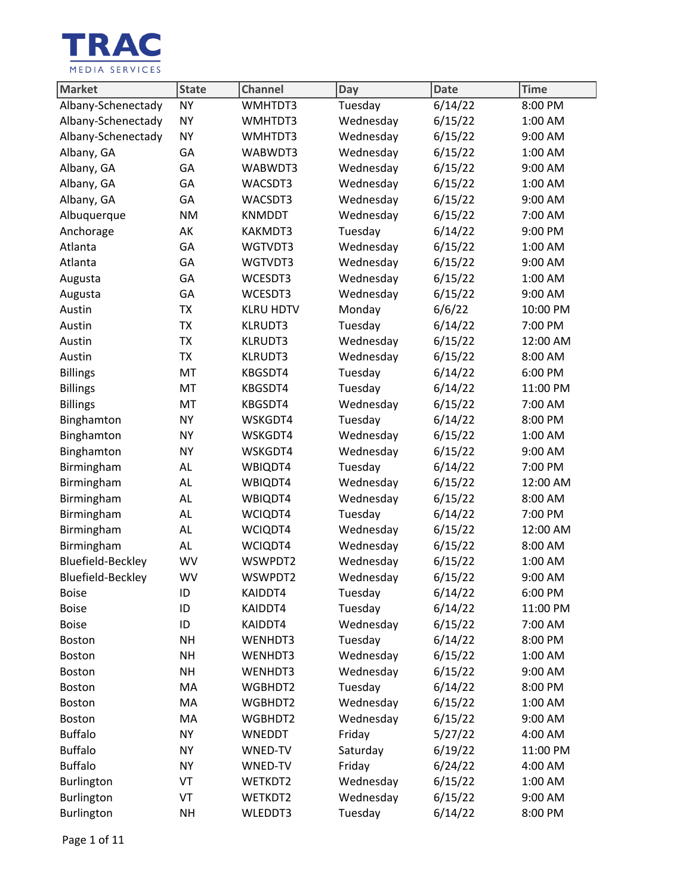

| Market                   | <b>State</b> | <b>Channel</b>   | Day       | <b>Date</b> | <b>Time</b> |
|--------------------------|--------------|------------------|-----------|-------------|-------------|
| Albany-Schenectady       | <b>NY</b>    | WMHTDT3          | Tuesday   | 6/14/22     | 8:00 PM     |
| Albany-Schenectady       | <b>NY</b>    | WMHTDT3          | Wednesday | 6/15/22     | 1:00 AM     |
| Albany-Schenectady       | <b>NY</b>    | WMHTDT3          | Wednesday | 6/15/22     | 9:00 AM     |
| Albany, GA               | GA           | WABWDT3          | Wednesday | 6/15/22     | 1:00 AM     |
| Albany, GA               | GA           | WABWDT3          | Wednesday | 6/15/22     | 9:00 AM     |
| Albany, GA               | GA           | WACSDT3          | Wednesday | 6/15/22     | 1:00 AM     |
| Albany, GA               | GA           | WACSDT3          | Wednesday | 6/15/22     | 9:00 AM     |
| Albuquerque              | <b>NM</b>    | <b>KNMDDT</b>    | Wednesday | 6/15/22     | 7:00 AM     |
| Anchorage                | AK           | KAKMDT3          | Tuesday   | 6/14/22     | 9:00 PM     |
| Atlanta                  | GA           | WGTVDT3          | Wednesday | 6/15/22     | 1:00 AM     |
| Atlanta                  | GA           | WGTVDT3          | Wednesday | 6/15/22     | 9:00 AM     |
| Augusta                  | GA           | WCESDT3          | Wednesday | 6/15/22     | 1:00 AM     |
| Augusta                  | GA           | WCESDT3          | Wednesday | 6/15/22     | 9:00 AM     |
| Austin                   | <b>TX</b>    | <b>KLRU HDTV</b> | Monday    | 6/6/22      | 10:00 PM    |
| Austin                   | TX           | <b>KLRUDT3</b>   | Tuesday   | 6/14/22     | 7:00 PM     |
| Austin                   | <b>TX</b>    | <b>KLRUDT3</b>   | Wednesday | 6/15/22     | 12:00 AM    |
| Austin                   | <b>TX</b>    | <b>KLRUDT3</b>   | Wednesday | 6/15/22     | 8:00 AM     |
| <b>Billings</b>          | MT           | KBGSDT4          | Tuesday   | 6/14/22     | 6:00 PM     |
| <b>Billings</b>          | MT           | KBGSDT4          | Tuesday   | 6/14/22     | 11:00 PM    |
| <b>Billings</b>          | MT           | KBGSDT4          | Wednesday | 6/15/22     | 7:00 AM     |
| Binghamton               | <b>NY</b>    | WSKGDT4          | Tuesday   | 6/14/22     | 8:00 PM     |
| Binghamton               | <b>NY</b>    | WSKGDT4          | Wednesday | 6/15/22     | 1:00 AM     |
| Binghamton               | <b>NY</b>    | WSKGDT4          | Wednesday | 6/15/22     | 9:00 AM     |
| Birmingham               | AL           | WBIQDT4          | Tuesday   | 6/14/22     | 7:00 PM     |
| Birmingham               | AL           | WBIQDT4          | Wednesday | 6/15/22     | 12:00 AM    |
| Birmingham               | AL           | WBIQDT4          | Wednesday | 6/15/22     | 8:00 AM     |
| Birmingham               | AL           | WCIQDT4          | Tuesday   | 6/14/22     | 7:00 PM     |
| Birmingham               | AL           | WCIQDT4          | Wednesday | 6/15/22     | 12:00 AM    |
| Birmingham               | AL           | WCIQDT4          | Wednesday | 6/15/22     | 8:00 AM     |
| Bluefield-Beckley        | WV           | WSWPDT2          | Wednesday | 6/15/22     | 1:00 AM     |
| <b>Bluefield-Beckley</b> | <b>WV</b>    | WSWPDT2          | Wednesday | 6/15/22     | 9:00 AM     |
| <b>Boise</b>             | ID           | KAIDDT4          | Tuesday   | 6/14/22     | 6:00 PM     |
| <b>Boise</b>             | ID           | KAIDDT4          | Tuesday   | 6/14/22     | 11:00 PM    |
| <b>Boise</b>             | ID           | KAIDDT4          | Wednesday | 6/15/22     | 7:00 AM     |
| Boston                   | <b>NH</b>    | WENHDT3          | Tuesday   | 6/14/22     | 8:00 PM     |
| <b>Boston</b>            | <b>NH</b>    | WENHDT3          | Wednesday | 6/15/22     | 1:00 AM     |
| Boston                   | <b>NH</b>    | WENHDT3          | Wednesday | 6/15/22     | 9:00 AM     |
| Boston                   | MA           | WGBHDT2          | Tuesday   | 6/14/22     | 8:00 PM     |
| <b>Boston</b>            | MA           | WGBHDT2          | Wednesday | 6/15/22     | 1:00 AM     |
| Boston                   | MA           | WGBHDT2          | Wednesday | 6/15/22     | 9:00 AM     |
| <b>Buffalo</b>           | <b>NY</b>    | <b>WNEDDT</b>    | Friday    | 5/27/22     | 4:00 AM     |
| <b>Buffalo</b>           | <b>NY</b>    | WNED-TV          | Saturday  | 6/19/22     | 11:00 PM    |
| <b>Buffalo</b>           | <b>NY</b>    | WNED-TV          | Friday    | 6/24/22     | 4:00 AM     |
| Burlington               | VT           | WETKDT2          | Wednesday | 6/15/22     | 1:00 AM     |
| Burlington               | VT           | WETKDT2          | Wednesday | 6/15/22     | 9:00 AM     |
| Burlington               | <b>NH</b>    | WLEDDT3          | Tuesday   | 6/14/22     | 8:00 PM     |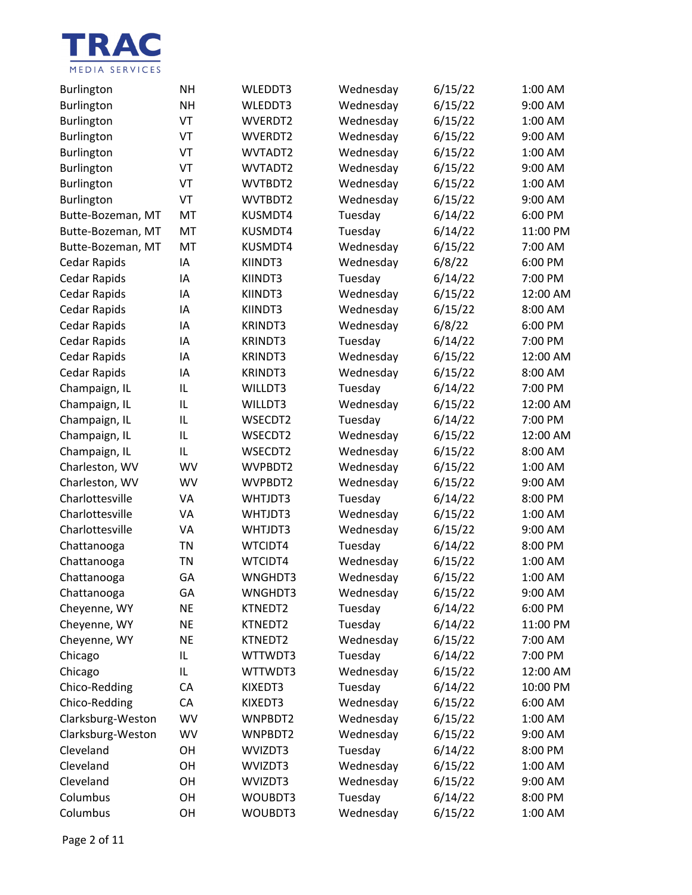

| <b>Burlington</b>   | <b>NH</b> | WLEDDT3        | Wednesday | 6/15/22 | 1:00 AM  |
|---------------------|-----------|----------------|-----------|---------|----------|
| Burlington          | <b>NH</b> | WLEDDT3        | Wednesday | 6/15/22 | 9:00 AM  |
| Burlington          | VT        | WVERDT2        | Wednesday | 6/15/22 | 1:00 AM  |
| Burlington          | VT        | WVERDT2        | Wednesday | 6/15/22 | 9:00 AM  |
| Burlington          | VT        | WVTADT2        | Wednesday | 6/15/22 | 1:00 AM  |
| Burlington          | VT        | WVTADT2        | Wednesday | 6/15/22 | 9:00 AM  |
| Burlington          | VT        | WVTBDT2        | Wednesday | 6/15/22 | 1:00 AM  |
| Burlington          | VT        | WVTBDT2        | Wednesday | 6/15/22 | 9:00 AM  |
| Butte-Bozeman, MT   | MT        | KUSMDT4        | Tuesday   | 6/14/22 | 6:00 PM  |
| Butte-Bozeman, MT   | MT        | KUSMDT4        | Tuesday   | 6/14/22 | 11:00 PM |
| Butte-Bozeman, MT   | MT        | KUSMDT4        | Wednesday | 6/15/22 | 7:00 AM  |
| Cedar Rapids        | IA        | KIINDT3        | Wednesday | 6/8/22  | 6:00 PM  |
| Cedar Rapids        | IA        | KIINDT3        | Tuesday   | 6/14/22 | 7:00 PM  |
| <b>Cedar Rapids</b> | ΙA        | KIINDT3        | Wednesday | 6/15/22 | 12:00 AM |
| Cedar Rapids        | IA        | KIINDT3        | Wednesday | 6/15/22 | 8:00 AM  |
| <b>Cedar Rapids</b> | IA        | <b>KRINDT3</b> | Wednesday | 6/8/22  | 6:00 PM  |
| <b>Cedar Rapids</b> | ΙA        | <b>KRINDT3</b> | Tuesday   | 6/14/22 | 7:00 PM  |
| Cedar Rapids        | IA        | <b>KRINDT3</b> | Wednesday | 6/15/22 | 12:00 AM |
| <b>Cedar Rapids</b> | IA        | <b>KRINDT3</b> | Wednesday | 6/15/22 | 8:00 AM  |
| Champaign, IL       | IL        | WILLDT3        | Tuesday   | 6/14/22 | 7:00 PM  |
| Champaign, IL       | IL        | WILLDT3        | Wednesday | 6/15/22 | 12:00 AM |
| Champaign, IL       | IL        | WSECDT2        | Tuesday   | 6/14/22 | 7:00 PM  |
| Champaign, IL       | IL        | WSECDT2        | Wednesday | 6/15/22 | 12:00 AM |
| Champaign, IL       | IL        | WSECDT2        | Wednesday | 6/15/22 | 8:00 AM  |
| Charleston, WV      | <b>WV</b> | WVPBDT2        | Wednesday | 6/15/22 | 1:00 AM  |
| Charleston, WV      | WV        | WVPBDT2        | Wednesday | 6/15/22 | 9:00 AM  |
| Charlottesville     | VA        | WHTJDT3        | Tuesday   | 6/14/22 | 8:00 PM  |
| Charlottesville     | VA        | WHTJDT3        | Wednesday | 6/15/22 | 1:00 AM  |
| Charlottesville     | VA        | WHTJDT3        | Wednesday | 6/15/22 | 9:00 AM  |
| Chattanooga         | <b>TN</b> | WTCIDT4        | Tuesday   | 6/14/22 | 8:00 PM  |
| Chattanooga         | <b>TN</b> | WTCIDT4        | Wednesday | 6/15/22 | 1:00 AM  |
| Chattanooga         | GA        | WNGHDT3        | Wednesday | 6/15/22 | 1:00 AM  |
| Chattanooga         | GА        | WNGHDT3        | Wednesday | 6/15/22 | 9:00 AM  |
| Cheyenne, WY        | <b>NE</b> | KTNEDT2        | Tuesday   | 6/14/22 | 6:00 PM  |
| Cheyenne, WY        | <b>NE</b> | KTNEDT2        | Tuesday   | 6/14/22 | 11:00 PM |
| Cheyenne, WY        | <b>NE</b> | KTNEDT2        | Wednesday | 6/15/22 | 7:00 AM  |
| Chicago             | IL.       | WTTWDT3        | Tuesday   | 6/14/22 | 7:00 PM  |
| Chicago             | IL.       | WTTWDT3        | Wednesday | 6/15/22 | 12:00 AM |
| Chico-Redding       | CA        | KIXEDT3        | Tuesday   | 6/14/22 | 10:00 PM |
| Chico-Redding       | CA        | KIXEDT3        | Wednesday | 6/15/22 | 6:00 AM  |
| Clarksburg-Weston   | WV        | WNPBDT2        | Wednesday | 6/15/22 | 1:00 AM  |
| Clarksburg-Weston   | WV        | WNPBDT2        | Wednesday | 6/15/22 | 9:00 AM  |
| Cleveland           | OH        | WVIZDT3        | Tuesday   | 6/14/22 | 8:00 PM  |
| Cleveland           | OH        | WVIZDT3        | Wednesday | 6/15/22 | 1:00 AM  |
| Cleveland           | OH        | WVIZDT3        | Wednesday | 6/15/22 | 9:00 AM  |
| Columbus            | OH        | WOUBDT3        | Tuesday   | 6/14/22 | 8:00 PM  |
| Columbus            | OH        | WOUBDT3        | Wednesday | 6/15/22 | 1:00 AM  |

Page 2 of 11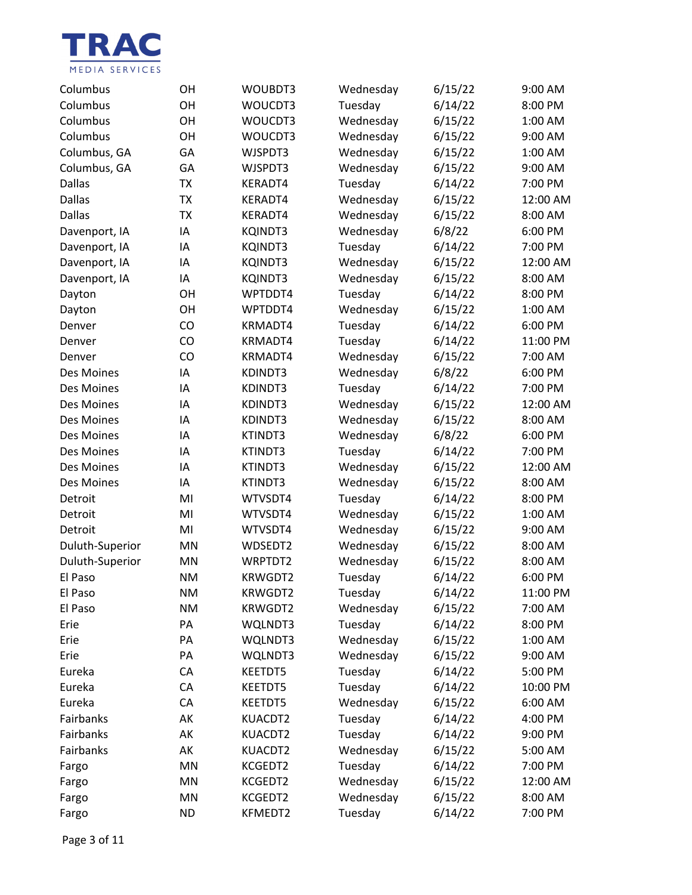

| Columbus        | OН        | WOUBDT3        | Wednesday | 6/15/22 | 9:00 AM  |
|-----------------|-----------|----------------|-----------|---------|----------|
| Columbus        | OH        | WOUCDT3        | Tuesday   | 6/14/22 | 8:00 PM  |
| Columbus        | OH        | WOUCDT3        | Wednesday | 6/15/22 | 1:00 AM  |
| Columbus        | OH        | WOUCDT3        | Wednesday | 6/15/22 | 9:00 AM  |
| Columbus, GA    | GA        | WJSPDT3        | Wednesday | 6/15/22 | 1:00 AM  |
| Columbus, GA    | GA        | WJSPDT3        | Wednesday | 6/15/22 | 9:00 AM  |
| <b>Dallas</b>   | <b>TX</b> | KERADT4        | Tuesday   | 6/14/22 | 7:00 PM  |
| <b>Dallas</b>   | <b>TX</b> | KERADT4        | Wednesday | 6/15/22 | 12:00 AM |
| <b>Dallas</b>   | <b>TX</b> | KERADT4        | Wednesday | 6/15/22 | 8:00 AM  |
| Davenport, IA   | ΙA        | <b>KQINDT3</b> | Wednesday | 6/8/22  | 6:00 PM  |
| Davenport, IA   | IA        | <b>KQINDT3</b> | Tuesday   | 6/14/22 | 7:00 PM  |
| Davenport, IA   | IA        | <b>KQINDT3</b> | Wednesday | 6/15/22 | 12:00 AM |
| Davenport, IA   | IA        | <b>KQINDT3</b> | Wednesday | 6/15/22 | 8:00 AM  |
| Dayton          | OH        | WPTDDT4        | Tuesday   | 6/14/22 | 8:00 PM  |
| Dayton          | OH        | WPTDDT4        | Wednesday | 6/15/22 | 1:00 AM  |
| Denver          | CO        | KRMADT4        | Tuesday   | 6/14/22 | 6:00 PM  |
| Denver          | CO        | KRMADT4        | Tuesday   | 6/14/22 | 11:00 PM |
| Denver          | CO        | KRMADT4        | Wednesday | 6/15/22 | 7:00 AM  |
| Des Moines      | IA        | KDINDT3        | Wednesday | 6/8/22  | 6:00 PM  |
| Des Moines      | IA        | KDINDT3        | Tuesday   | 6/14/22 | 7:00 PM  |
| Des Moines      | IA        | KDINDT3        | Wednesday | 6/15/22 | 12:00 AM |
| Des Moines      | IA        | KDINDT3        | Wednesday | 6/15/22 | 8:00 AM  |
| Des Moines      | ΙA        | KTINDT3        | Wednesday | 6/8/22  | 6:00 PM  |
| Des Moines      | IA        | KTINDT3        | Tuesday   | 6/14/22 | 7:00 PM  |
| Des Moines      | IA        | KTINDT3        | Wednesday | 6/15/22 | 12:00 AM |
| Des Moines      | ΙA        | KTINDT3        | Wednesday | 6/15/22 | 8:00 AM  |
| Detroit         | MI        | WTVSDT4        | Tuesday   | 6/14/22 | 8:00 PM  |
| Detroit         | MI        | WTVSDT4        | Wednesday | 6/15/22 | 1:00 AM  |
| Detroit         | MI        | WTVSDT4        | Wednesday | 6/15/22 | 9:00 AM  |
| Duluth-Superior | MN        | WDSEDT2        | Wednesday | 6/15/22 | 8:00 AM  |
| Duluth-Superior | MN        | WRPTDT2        | Wednesday | 6/15/22 | 8:00 AM  |
| El Paso         | <b>NM</b> | KRWGDT2        | Tuesday   | 6/14/22 | 6:00 PM  |
| El Paso         | ΝM        | KRWGDT2        | Tuesday   | 6/14/22 | 11:00 PM |
| El Paso         | <b>NM</b> | KRWGDT2        | Wednesday | 6/15/22 | 7:00 AM  |
| Erie            | PA        | WQLNDT3        | Tuesday   | 6/14/22 | 8:00 PM  |
| Erie            | PA        | WQLNDT3        | Wednesday | 6/15/22 | 1:00 AM  |
| Erie            | PA        | WQLNDT3        | Wednesday | 6/15/22 | 9:00 AM  |
| Eureka          | CA        | <b>KEETDT5</b> | Tuesday   | 6/14/22 | 5:00 PM  |
| Eureka          | CA        | <b>KEETDT5</b> | Tuesday   | 6/14/22 | 10:00 PM |
| Eureka          | CA        | KEETDT5        | Wednesday | 6/15/22 | 6:00 AM  |
| Fairbanks       | AK        | KUACDT2        | Tuesday   | 6/14/22 | 4:00 PM  |
| Fairbanks       | AK        | KUACDT2        | Tuesday   | 6/14/22 | 9:00 PM  |
| Fairbanks       | AK        | KUACDT2        | Wednesday | 6/15/22 | 5:00 AM  |
| Fargo           | MN        | KCGEDT2        | Tuesday   | 6/14/22 | 7:00 PM  |
| Fargo           | MN        | KCGEDT2        | Wednesday | 6/15/22 | 12:00 AM |
| Fargo           | MN        | KCGEDT2        | Wednesday | 6/15/22 | 8:00 AM  |
| Fargo           | <b>ND</b> | KFMEDT2        | Tuesday   | 6/14/22 | 7:00 PM  |

Page 3 of 11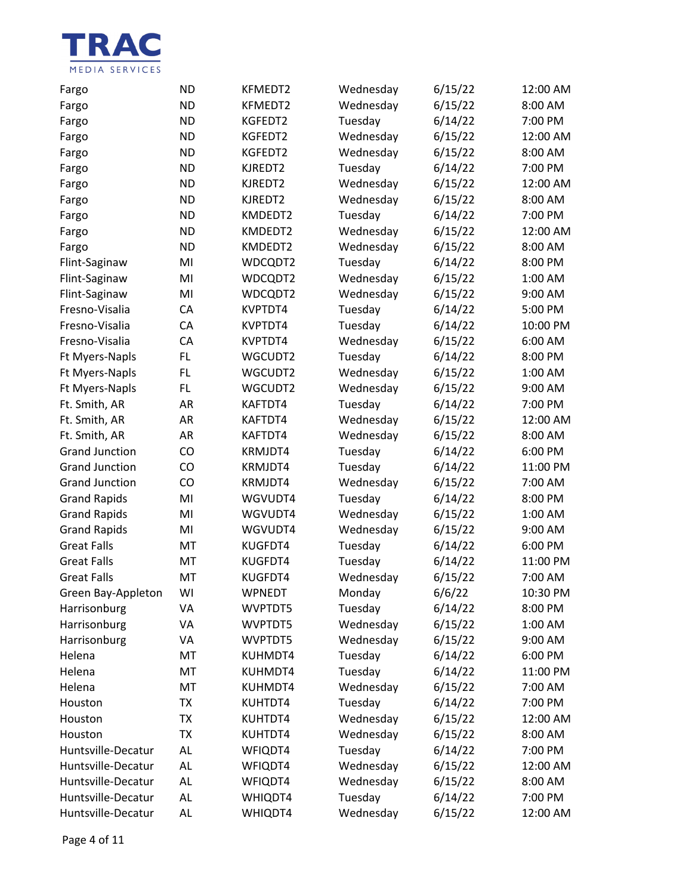

| Fargo                 | <b>ND</b> | KFMEDT2 | Wednesday | 6/15/22 | 12:00 AM |
|-----------------------|-----------|---------|-----------|---------|----------|
| Fargo                 | <b>ND</b> | KFMEDT2 | Wednesday | 6/15/22 | 8:00 AM  |
| Fargo                 | <b>ND</b> | KGFEDT2 | Tuesday   | 6/14/22 | 7:00 PM  |
| Fargo                 | <b>ND</b> | KGFEDT2 | Wednesday | 6/15/22 | 12:00 AM |
| Fargo                 | <b>ND</b> | KGFEDT2 | Wednesday | 6/15/22 | 8:00 AM  |
| Fargo                 | <b>ND</b> | KJREDT2 | Tuesday   | 6/14/22 | 7:00 PM  |
| Fargo                 | <b>ND</b> | KJREDT2 | Wednesday | 6/15/22 | 12:00 AM |
| Fargo                 | <b>ND</b> | KJREDT2 | Wednesday | 6/15/22 | 8:00 AM  |
| Fargo                 | <b>ND</b> | KMDEDT2 | Tuesday   | 6/14/22 | 7:00 PM  |
| Fargo                 | <b>ND</b> | KMDEDT2 | Wednesday | 6/15/22 | 12:00 AM |
| Fargo                 | <b>ND</b> | KMDEDT2 | Wednesday | 6/15/22 | 8:00 AM  |
| Flint-Saginaw         | MI        | WDCQDT2 | Tuesday   | 6/14/22 | 8:00 PM  |
| Flint-Saginaw         | MI        | WDCQDT2 | Wednesday | 6/15/22 | 1:00 AM  |
| Flint-Saginaw         | MI        | WDCQDT2 | Wednesday | 6/15/22 | 9:00 AM  |
| Fresno-Visalia        | CA        | KVPTDT4 | Tuesday   | 6/14/22 | 5:00 PM  |
| Fresno-Visalia        | CA        | KVPTDT4 | Tuesday   | 6/14/22 | 10:00 PM |
| Fresno-Visalia        | CA        | KVPTDT4 | Wednesday | 6/15/22 | 6:00 AM  |
| Ft Myers-Napls        | FL        | WGCUDT2 | Tuesday   | 6/14/22 | 8:00 PM  |
| Ft Myers-Napls        | FL        | WGCUDT2 | Wednesday | 6/15/22 | 1:00 AM  |
| Ft Myers-Napls        | FL        | WGCUDT2 | Wednesday | 6/15/22 | 9:00 AM  |
| Ft. Smith, AR         | AR        | KAFTDT4 | Tuesday   | 6/14/22 | 7:00 PM  |
| Ft. Smith, AR         | AR        | KAFTDT4 | Wednesday | 6/15/22 | 12:00 AM |
| Ft. Smith, AR         | AR        | KAFTDT4 | Wednesday | 6/15/22 | 8:00 AM  |
| <b>Grand Junction</b> | CO        | KRMJDT4 | Tuesday   | 6/14/22 | 6:00 PM  |
| <b>Grand Junction</b> | CO        | KRMJDT4 | Tuesday   | 6/14/22 | 11:00 PM |
| <b>Grand Junction</b> | CO        | KRMJDT4 | Wednesday | 6/15/22 | 7:00 AM  |
| <b>Grand Rapids</b>   | MI        | WGVUDT4 | Tuesday   | 6/14/22 | 8:00 PM  |
| <b>Grand Rapids</b>   | MI        | WGVUDT4 | Wednesday | 6/15/22 | 1:00 AM  |
| <b>Grand Rapids</b>   | MI        | WGVUDT4 | Wednesday | 6/15/22 | 9:00 AM  |
| <b>Great Falls</b>    | MT        | KUGFDT4 | Tuesday   | 6/14/22 | 6:00 PM  |
| <b>Great Falls</b>    | MT        | KUGFDT4 | Tuesday   | 6/14/22 | 11:00 PM |
| <b>Great Falls</b>    | MT        | KUGFDT4 | Wednesday | 6/15/22 | 7:00 AM  |
| Green Bay-Appleton    | WI        | WPNEDT  | Monday    | 6/6/22  | 10:30 PM |
| Harrisonburg          | VA        | WVPTDT5 | Tuesday   | 6/14/22 | 8:00 PM  |
| Harrisonburg          | VA        | WVPTDT5 | Wednesday | 6/15/22 | 1:00 AM  |
| Harrisonburg          | VA        | WVPTDT5 | Wednesday | 6/15/22 | 9:00 AM  |
| Helena                | MT        | KUHMDT4 | Tuesday   | 6/14/22 | 6:00 PM  |
| Helena                | MT        | KUHMDT4 | Tuesday   | 6/14/22 | 11:00 PM |
| Helena                | MT        | KUHMDT4 | Wednesday | 6/15/22 | 7:00 AM  |
| Houston               | TX        | KUHTDT4 | Tuesday   | 6/14/22 | 7:00 PM  |
| Houston               | ТX        | KUHTDT4 | Wednesday | 6/15/22 | 12:00 AM |
| Houston               | ТX        | KUHTDT4 | Wednesday | 6/15/22 | 8:00 AM  |
| Huntsville-Decatur    | AL        | WFIQDT4 | Tuesday   | 6/14/22 | 7:00 PM  |
| Huntsville-Decatur    | AL        | WFIQDT4 | Wednesday | 6/15/22 | 12:00 AM |
| Huntsville-Decatur    | AL        | WFIQDT4 | Wednesday | 6/15/22 | 8:00 AM  |
| Huntsville-Decatur    | AL        | WHIQDT4 | Tuesday   | 6/14/22 | 7:00 PM  |
| Huntsville-Decatur    | AL        | WHIQDT4 | Wednesday | 6/15/22 | 12:00 AM |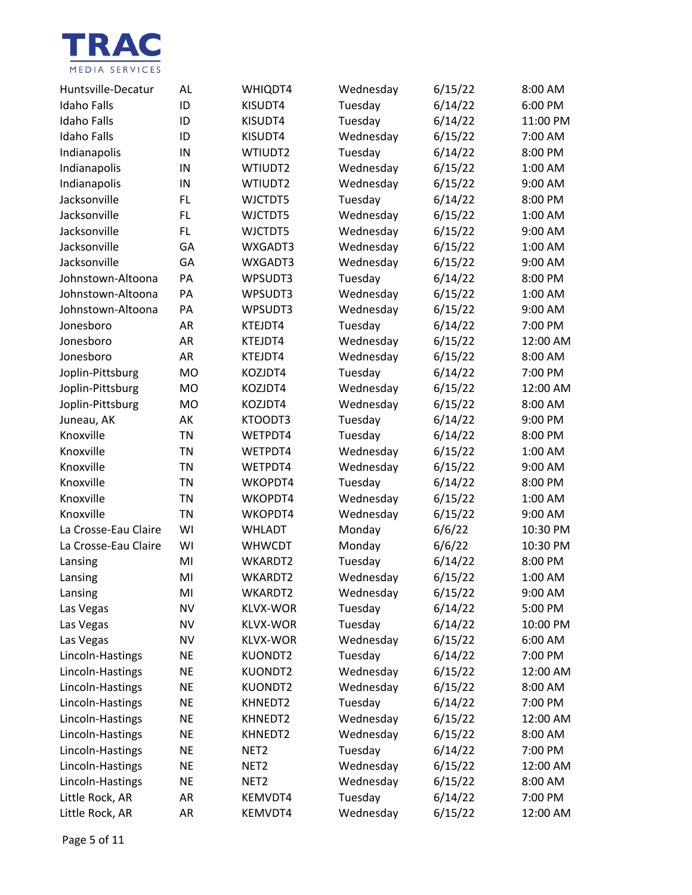

| Huntsville-Decatur   | AL        | WHIQDT4          | Wednesday | 6/15/22 | $8:00$ AM |
|----------------------|-----------|------------------|-----------|---------|-----------|
| <b>Idaho Falls</b>   | ID        | KISUDT4          | Tuesday   | 6/14/22 | 6:00 PM   |
| <b>Idaho Falls</b>   | ID        | KISUDT4          | Tuesday   | 6/14/22 | 11:00 PM  |
| <b>Idaho Falls</b>   | ID        | KISUDT4          | Wednesday | 6/15/22 | 7:00 AM   |
| Indianapolis         | IN        | WTIUDT2          | Tuesday   | 6/14/22 | 8:00 PM   |
| Indianapolis         | IN        | WTIUDT2          | Wednesday | 6/15/22 | 1:00 AM   |
| Indianapolis         | IN        | WTIUDT2          | Wednesday | 6/15/22 | 9:00 AM   |
| Jacksonville         | FL        | WJCTDT5          | Tuesday   | 6/14/22 | 8:00 PM   |
| Jacksonville         | FL        | WJCTDT5          | Wednesday | 6/15/22 | 1:00 AM   |
| Jacksonville         | FL        | WJCTDT5          | Wednesday | 6/15/22 | 9:00 AM   |
| Jacksonville         | GA        | WXGADT3          | Wednesday | 6/15/22 | 1:00 AM   |
| Jacksonville         | GA        | WXGADT3          | Wednesday | 6/15/22 | 9:00 AM   |
| Johnstown-Altoona    | PA        | WPSUDT3          | Tuesday   | 6/14/22 | 8:00 PM   |
| Johnstown-Altoona    | PA        | WPSUDT3          | Wednesday | 6/15/22 | 1:00 AM   |
| Johnstown-Altoona    | PA        | WPSUDT3          | Wednesday | 6/15/22 | 9:00 AM   |
| Jonesboro            | AR        | KTEJDT4          | Tuesday   | 6/14/22 | 7:00 PM   |
| Jonesboro            | AR        | KTEJDT4          | Wednesday | 6/15/22 | 12:00 AM  |
| Jonesboro            | <b>AR</b> | KTEJDT4          | Wednesday | 6/15/22 | 8:00 AM   |
| Joplin-Pittsburg     | <b>MO</b> | KOZJDT4          | Tuesday   | 6/14/22 | 7:00 PM   |
| Joplin-Pittsburg     | <b>MO</b> | KOZJDT4          | Wednesday | 6/15/22 | 12:00 AM  |
| Joplin-Pittsburg     | <b>MO</b> | KOZJDT4          | Wednesday | 6/15/22 | 8:00 AM   |
| Juneau, AK           | AK        | KTOODT3          | Tuesday   | 6/14/22 | 9:00 PM   |
| Knoxville            | TN        | WETPDT4          | Tuesday   | 6/14/22 | 8:00 PM   |
| Knoxville            | <b>TN</b> | WETPDT4          | Wednesday | 6/15/22 | 1:00 AM   |
| Knoxville            | TN        | WETPDT4          | Wednesday | 6/15/22 | 9:00 AM   |
| Knoxville            | TN        | WKOPDT4          | Tuesday   | 6/14/22 | 8:00 PM   |
| Knoxville            | TN        | WKOPDT4          | Wednesday | 6/15/22 | 1:00 AM   |
| Knoxville            | TN        | WKOPDT4          | Wednesday | 6/15/22 | 9:00 AM   |
| La Crosse-Eau Claire | WI        | <b>WHLADT</b>    | Monday    | 6/6/22  | 10:30 PM  |
| La Crosse-Eau Claire | WI        | <b>WHWCDT</b>    | Monday    | 6/6/22  | 10:30 PM  |
| Lansing              | MI        | WKARDT2          | Tuesday   | 6/14/22 | 8:00 PM   |
| Lansing              | MI        | WKARDT2          | Wednesday | 6/15/22 | 1:00 AM   |
| Lansing              | MI        | WKARDT2          | Wednesday | 6/15/22 | 9:00 AM   |
| Las Vegas            | <b>NV</b> | <b>KLVX-WOR</b>  | Tuesday   | 6/14/22 | 5:00 PM   |
| Las Vegas            | <b>NV</b> | <b>KLVX-WOR</b>  | Tuesday   | 6/14/22 | 10:00 PM  |
| Las Vegas            | <b>NV</b> | <b>KLVX-WOR</b>  | Wednesday | 6/15/22 | 6:00 AM   |
| Lincoln-Hastings     | <b>NE</b> | KUONDT2          | Tuesday   | 6/14/22 | 7:00 PM   |
| Lincoln-Hastings     | <b>NE</b> | KUONDT2          | Wednesday | 6/15/22 | 12:00 AM  |
| Lincoln-Hastings     | <b>NE</b> | KUONDT2          | Wednesday | 6/15/22 | 8:00 AM   |
| Lincoln-Hastings     | <b>NE</b> | KHNEDT2          | Tuesday   | 6/14/22 | 7:00 PM   |
| Lincoln-Hastings     | <b>NE</b> | KHNEDT2          | Wednesday | 6/15/22 | 12:00 AM  |
| Lincoln-Hastings     | <b>NE</b> | KHNEDT2          | Wednesday | 6/15/22 | 8:00 AM   |
| Lincoln-Hastings     | <b>NE</b> | NET <sub>2</sub> | Tuesday   | 6/14/22 | 7:00 PM   |
| Lincoln-Hastings     | <b>NE</b> | NET <sub>2</sub> | Wednesday | 6/15/22 | 12:00 AM  |
| Lincoln-Hastings     | <b>NE</b> | NET <sub>2</sub> | Wednesday | 6/15/22 | 8:00 AM   |
| Little Rock, AR      | AR        | KEMVDT4          | Tuesday   | 6/14/22 | 7:00 PM   |
| Little Rock, AR      | AR        | KEMVDT4          | Wednesday | 6/15/22 | 12:00 AM  |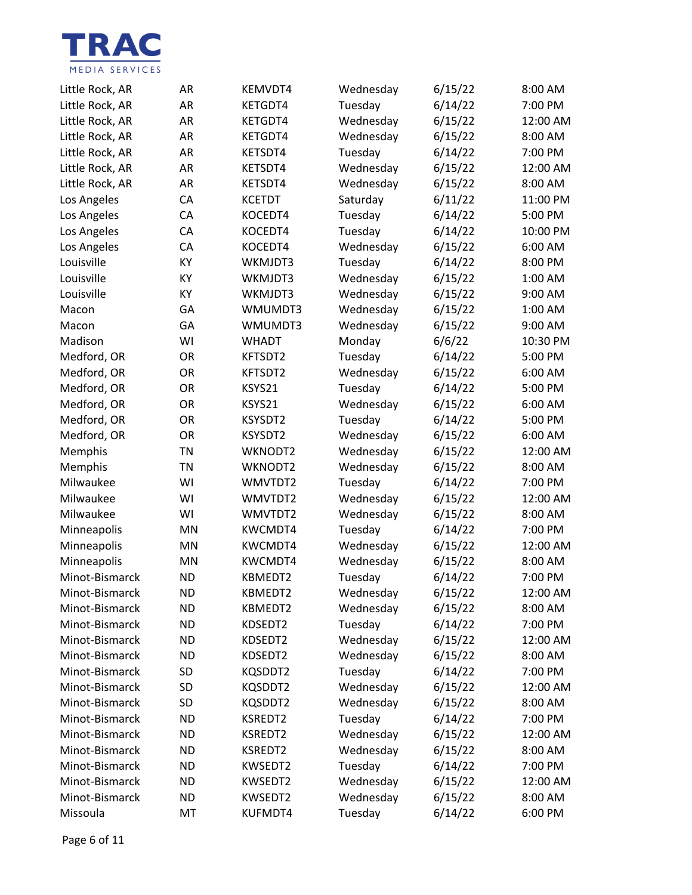

| Little Rock, AR | AR        | KEMVDT4        | Wednesday | 6/15/22 | 8:00 AM  |
|-----------------|-----------|----------------|-----------|---------|----------|
| Little Rock, AR | <b>AR</b> | KETGDT4        | Tuesday   | 6/14/22 | 7:00 PM  |
| Little Rock, AR | AR        | KETGDT4        | Wednesday | 6/15/22 | 12:00 AM |
| Little Rock, AR | AR        | KETGDT4        | Wednesday | 6/15/22 | 8:00 AM  |
| Little Rock, AR | AR        | KETSDT4        | Tuesday   | 6/14/22 | 7:00 PM  |
| Little Rock, AR | AR        | KETSDT4        | Wednesday | 6/15/22 | 12:00 AM |
| Little Rock, AR | AR        | KETSDT4        | Wednesday | 6/15/22 | 8:00 AM  |
| Los Angeles     | CA        | <b>KCETDT</b>  | Saturday  | 6/11/22 | 11:00 PM |
| Los Angeles     | CA        | KOCEDT4        | Tuesday   | 6/14/22 | 5:00 PM  |
| Los Angeles     | CA        | KOCEDT4        | Tuesday   | 6/14/22 | 10:00 PM |
| Los Angeles     | CA        | KOCEDT4        | Wednesday | 6/15/22 | 6:00 AM  |
| Louisville      | KY        | WKMJDT3        | Tuesday   | 6/14/22 | 8:00 PM  |
| Louisville      | KY        | WKMJDT3        | Wednesday | 6/15/22 | 1:00 AM  |
| Louisville      | KY        | WKMJDT3        | Wednesday | 6/15/22 | 9:00 AM  |
| Macon           | GA        | WMUMDT3        | Wednesday | 6/15/22 | 1:00 AM  |
| Macon           | GA        | WMUMDT3        | Wednesday | 6/15/22 | 9:00 AM  |
| Madison         | WI        | <b>WHADT</b>   | Monday    | 6/6/22  | 10:30 PM |
| Medford, OR     | OR        | KFTSDT2        | Tuesday   | 6/14/22 | 5:00 PM  |
| Medford, OR     | OR        | KFTSDT2        | Wednesday | 6/15/22 | 6:00 AM  |
| Medford, OR     | OR        | KSYS21         | Tuesday   | 6/14/22 | 5:00 PM  |
| Medford, OR     | OR        | KSYS21         | Wednesday | 6/15/22 | 6:00 AM  |
| Medford, OR     | OR        | KSYSDT2        | Tuesday   | 6/14/22 | 5:00 PM  |
| Medford, OR     | OR        | KSYSDT2        | Wednesday | 6/15/22 | 6:00 AM  |
| Memphis         | <b>TN</b> | WKNODT2        | Wednesday | 6/15/22 | 12:00 AM |
| Memphis         | <b>TN</b> | WKNODT2        | Wednesday | 6/15/22 | 8:00 AM  |
| Milwaukee       | WI        | WMVTDT2        | Tuesday   | 6/14/22 | 7:00 PM  |
| Milwaukee       | WI        | WMVTDT2        | Wednesday | 6/15/22 | 12:00 AM |
| Milwaukee       | WI        | WMVTDT2        | Wednesday | 6/15/22 | 8:00 AM  |
| Minneapolis     | MN        | <b>KWCMDT4</b> | Tuesday   | 6/14/22 | 7:00 PM  |
| Minneapolis     | MN        | KWCMDT4        | Wednesday | 6/15/22 | 12:00 AM |
| Minneapolis     | <b>MN</b> | KWCMDT4        | Wednesday | 6/15/22 | 8:00 AM  |
| Minot-Bismarck  | <b>ND</b> | KBMEDT2        | Tuesday   | 6/14/22 | 7:00 PM  |
| Minot-Bismarck  | <b>ND</b> | KBMEDT2        | Wednesday | 6/15/22 | 12:00 AM |
| Minot-Bismarck  | <b>ND</b> | KBMEDT2        | Wednesday | 6/15/22 | 8:00 AM  |
| Minot-Bismarck  | <b>ND</b> | KDSEDT2        | Tuesday   | 6/14/22 | 7:00 PM  |
| Minot-Bismarck  | <b>ND</b> | KDSEDT2        | Wednesday | 6/15/22 | 12:00 AM |
| Minot-Bismarck  | <b>ND</b> | KDSEDT2        | Wednesday | 6/15/22 | 8:00 AM  |
| Minot-Bismarck  | SD        | KQSDDT2        | Tuesday   | 6/14/22 | 7:00 PM  |
| Minot-Bismarck  | SD        | KQSDDT2        | Wednesday | 6/15/22 | 12:00 AM |
| Minot-Bismarck  | <b>SD</b> | KQSDDT2        | Wednesday | 6/15/22 | 8:00 AM  |
| Minot-Bismarck  | <b>ND</b> | KSREDT2        | Tuesday   | 6/14/22 | 7:00 PM  |
| Minot-Bismarck  | <b>ND</b> | KSREDT2        | Wednesday | 6/15/22 | 12:00 AM |
| Minot-Bismarck  | <b>ND</b> | KSREDT2        | Wednesday | 6/15/22 | 8:00 AM  |
| Minot-Bismarck  | <b>ND</b> | KWSEDT2        | Tuesday   | 6/14/22 | 7:00 PM  |
| Minot-Bismarck  | <b>ND</b> | KWSEDT2        | Wednesday | 6/15/22 | 12:00 AM |
| Minot-Bismarck  | <b>ND</b> | KWSEDT2        | Wednesday | 6/15/22 | 8:00 AM  |
| Missoula        | MT        | KUFMDT4        | Tuesday   | 6/14/22 | 6:00 PM  |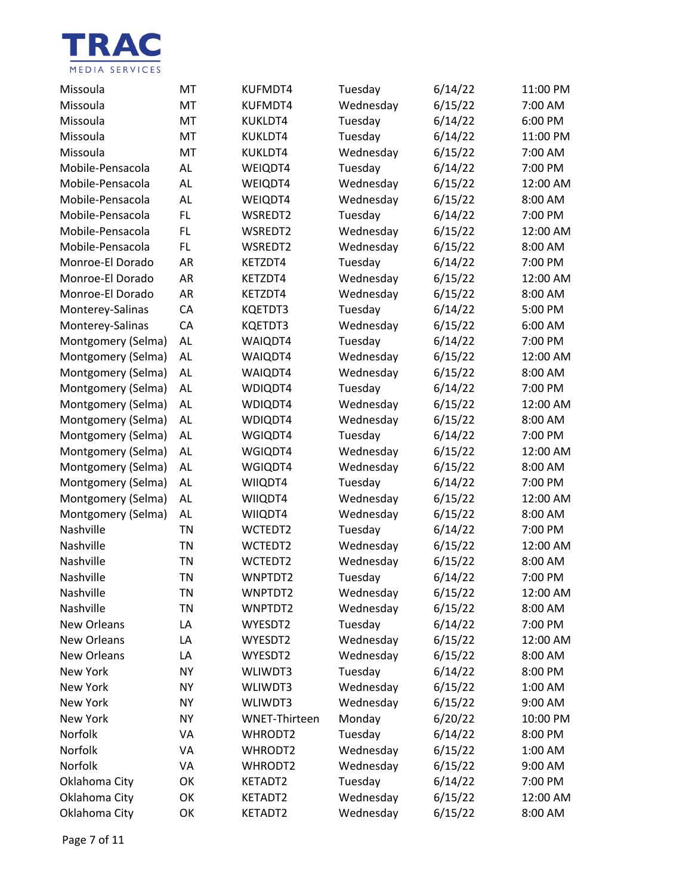

| Missoula           | МT        | KUFMDT4              | Tuesday   | 6/14/22 | 11:00 PM |
|--------------------|-----------|----------------------|-----------|---------|----------|
| Missoula           | MT        | KUFMDT4              | Wednesday | 6/15/22 | 7:00 AM  |
| Missoula           | MT        | KUKLDT4              | Tuesday   | 6/14/22 | 6:00 PM  |
| Missoula           | MT        | KUKLDT4              | Tuesday   | 6/14/22 | 11:00 PM |
| Missoula           | MT        | KUKLDT4              | Wednesday | 6/15/22 | 7:00 AM  |
| Mobile-Pensacola   | <b>AL</b> | WEIQDT4              | Tuesday   | 6/14/22 | 7:00 PM  |
| Mobile-Pensacola   | AL        | WEIQDT4              | Wednesday | 6/15/22 | 12:00 AM |
| Mobile-Pensacola   | <b>AL</b> | WEIQDT4              | Wednesday | 6/15/22 | 8:00 AM  |
| Mobile-Pensacola   | FL        | WSREDT2              | Tuesday   | 6/14/22 | 7:00 PM  |
| Mobile-Pensacola   | FL        | WSREDT2              | Wednesday | 6/15/22 | 12:00 AM |
| Mobile-Pensacola   | FL        | WSREDT2              | Wednesday | 6/15/22 | 8:00 AM  |
| Monroe-El Dorado   | AR        | KETZDT4              | Tuesday   | 6/14/22 | 7:00 PM  |
| Monroe-El Dorado   | <b>AR</b> | KETZDT4              | Wednesday | 6/15/22 | 12:00 AM |
| Monroe-El Dorado   | <b>AR</b> | KETZDT4              | Wednesday | 6/15/22 | 8:00 AM  |
| Monterey-Salinas   | CA        | KQETDT3              | Tuesday   | 6/14/22 | 5:00 PM  |
| Monterey-Salinas   | CA        | KQETDT3              | Wednesday | 6/15/22 | 6:00 AM  |
| Montgomery (Selma) | AL        | WAIQDT4              | Tuesday   | 6/14/22 | 7:00 PM  |
| Montgomery (Selma) | AL        | WAIQDT4              | Wednesday | 6/15/22 | 12:00 AM |
| Montgomery (Selma) | AL        | WAIQDT4              | Wednesday | 6/15/22 | 8:00 AM  |
| Montgomery (Selma) | AL        | WDIQDT4              | Tuesday   | 6/14/22 | 7:00 PM  |
| Montgomery (Selma) | AL        | WDIQDT4              | Wednesday | 6/15/22 | 12:00 AM |
| Montgomery (Selma) | AL        | WDIQDT4              | Wednesday | 6/15/22 | 8:00 AM  |
| Montgomery (Selma) | AL        | WGIQDT4              | Tuesday   | 6/14/22 | 7:00 PM  |
| Montgomery (Selma) | AL        | WGIQDT4              | Wednesday | 6/15/22 | 12:00 AM |
| Montgomery (Selma) | AL        | WGIQDT4              | Wednesday | 6/15/22 | 8:00 AM  |
| Montgomery (Selma) | AL        | WIIQDT4              | Tuesday   | 6/14/22 | 7:00 PM  |
| Montgomery (Selma) | AL        | WIIQDT4              | Wednesday | 6/15/22 | 12:00 AM |
| Montgomery (Selma) | AL        | WIIQDT4              | Wednesday | 6/15/22 | 8:00 AM  |
| Nashville          | <b>TN</b> | WCTEDT2              | Tuesday   | 6/14/22 | 7:00 PM  |
| Nashville          | <b>TN</b> | WCTEDT2              | Wednesday | 6/15/22 | 12:00 AM |
| Nashville          | TN        | WCTEDT2              | Wednesday | 6/15/22 | 8:00 AM  |
| Nashville          | <b>TN</b> | WNPTDT2              | Tuesday   | 6/14/22 | 7:00 PM  |
| Nashville          | ΤN        | WNPTDT2              | Wednesday | 6/15/22 | 12:00 AM |
| Nashville          | TN        | WNPTDT2              | Wednesday | 6/15/22 | 8:00 AM  |
| <b>New Orleans</b> | LA        | WYESDT2              | Tuesday   | 6/14/22 | 7:00 PM  |
| <b>New Orleans</b> | LA        | WYESDT2              | Wednesday | 6/15/22 | 12:00 AM |
| <b>New Orleans</b> | LA        | WYESDT2              | Wednesday | 6/15/22 | 8:00 AM  |
| New York           | <b>NY</b> | WLIWDT3              | Tuesday   | 6/14/22 | 8:00 PM  |
| New York           | <b>NY</b> | WLIWDT3              | Wednesday | 6/15/22 | 1:00 AM  |
| New York           | <b>NY</b> | WLIWDT3              | Wednesday | 6/15/22 | 9:00 AM  |
| New York           | <b>NY</b> | <b>WNET-Thirteen</b> | Monday    | 6/20/22 | 10:00 PM |
| Norfolk            | VA        | WHRODT2              | Tuesday   | 6/14/22 | 8:00 PM  |
| Norfolk            | VA        | WHRODT2              | Wednesday | 6/15/22 | 1:00 AM  |
| Norfolk            | VA        | WHRODT2              | Wednesday | 6/15/22 | 9:00 AM  |
| Oklahoma City      | OK        | KETADT2              | Tuesday   | 6/14/22 | 7:00 PM  |
| Oklahoma City      | OK        | KETADT2              | Wednesday | 6/15/22 | 12:00 AM |
| Oklahoma City      | OK        | KETADT2              | Wednesday | 6/15/22 | 8:00 AM  |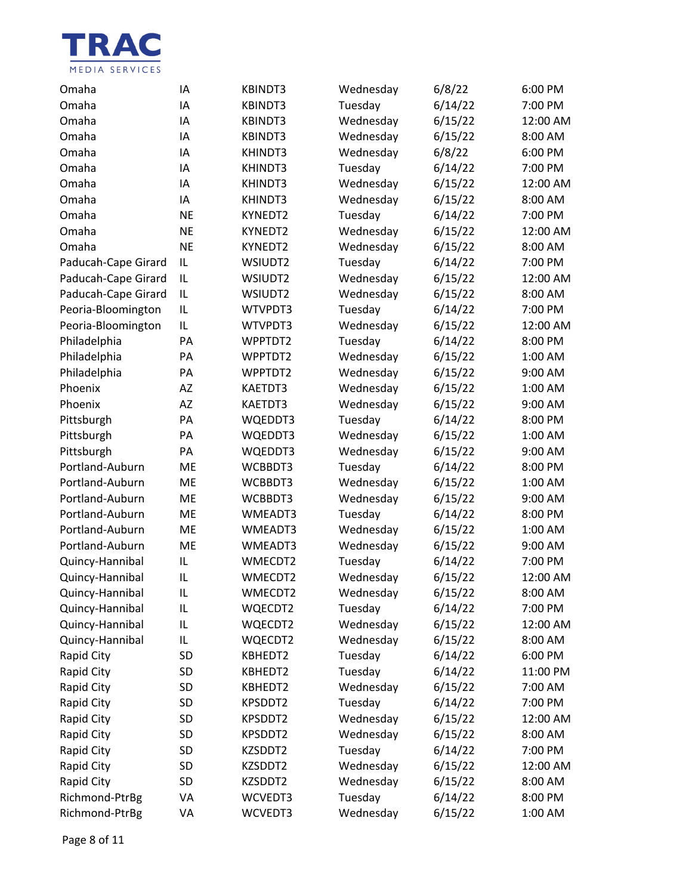

| Omaha               | IA        | <b>KBINDT3</b> | Wednesday | 6/8/22  | 6:00 PM  |
|---------------------|-----------|----------------|-----------|---------|----------|
| Omaha               | IA        | KBINDT3        | Tuesday   | 6/14/22 | 7:00 PM  |
| Omaha               | IA        | KBINDT3        | Wednesday | 6/15/22 | 12:00 AM |
| Omaha               | IA        | KBINDT3        | Wednesday | 6/15/22 | 8:00 AM  |
| Omaha               | IA        | KHINDT3        | Wednesday | 6/8/22  | 6:00 PM  |
| Omaha               | IA        | KHINDT3        | Tuesday   | 6/14/22 | 7:00 PM  |
| Omaha               | IA        | KHINDT3        | Wednesday | 6/15/22 | 12:00 AM |
| Omaha               | IA        | KHINDT3        | Wednesday | 6/15/22 | 8:00 AM  |
| Omaha               | <b>NE</b> | KYNEDT2        | Tuesday   | 6/14/22 | 7:00 PM  |
| Omaha               | <b>NE</b> | KYNEDT2        | Wednesday | 6/15/22 | 12:00 AM |
| Omaha               | <b>NE</b> | KYNEDT2        | Wednesday | 6/15/22 | 8:00 AM  |
| Paducah-Cape Girard | IL        | WSIUDT2        | Tuesday   | 6/14/22 | 7:00 PM  |
| Paducah-Cape Girard | IL        | WSIUDT2        | Wednesday | 6/15/22 | 12:00 AM |
| Paducah-Cape Girard | IL        | WSIUDT2        | Wednesday | 6/15/22 | 8:00 AM  |
| Peoria-Bloomington  | IL        | WTVPDT3        | Tuesday   | 6/14/22 | 7:00 PM  |
| Peoria-Bloomington  | IL        | WTVPDT3        | Wednesday | 6/15/22 | 12:00 AM |
| Philadelphia        | PA        | WPPTDT2        | Tuesday   | 6/14/22 | 8:00 PM  |
| Philadelphia        | PA        | WPPTDT2        | Wednesday | 6/15/22 | 1:00 AM  |
| Philadelphia        | PA        | WPPTDT2        | Wednesday | 6/15/22 | 9:00 AM  |
| Phoenix             | AZ        | KAETDT3        | Wednesday | 6/15/22 | 1:00 AM  |
| Phoenix             | AZ        | KAETDT3        | Wednesday | 6/15/22 | 9:00 AM  |
| Pittsburgh          | PA        | WQEDDT3        | Tuesday   | 6/14/22 | 8:00 PM  |
| Pittsburgh          | PA        | WQEDDT3        | Wednesday | 6/15/22 | 1:00 AM  |
| Pittsburgh          | PA        | WQEDDT3        | Wednesday | 6/15/22 | 9:00 AM  |
| Portland-Auburn     | <b>ME</b> | WCBBDT3        | Tuesday   | 6/14/22 | 8:00 PM  |
| Portland-Auburn     | ME        | WCBBDT3        | Wednesday | 6/15/22 | 1:00 AM  |
| Portland-Auburn     | <b>ME</b> | WCBBDT3        | Wednesday | 6/15/22 | 9:00 AM  |
| Portland-Auburn     | <b>ME</b> | WMEADT3        | Tuesday   | 6/14/22 | 8:00 PM  |
| Portland-Auburn     | ME        | WMEADT3        | Wednesday | 6/15/22 | 1:00 AM  |
| Portland-Auburn     | <b>ME</b> | WMEADT3        | Wednesday | 6/15/22 | 9:00 AM  |
| Quincy-Hannibal     | IL        | WMECDT2        | Tuesday   | 6/14/22 | 7:00 PM  |
| Quincy-Hannibal     | IL        | WMECDT2        | Wednesday | 6/15/22 | 12:00 AM |
| Quincy-Hannibal     | IL        | WMECDT2        | Wednesday | 6/15/22 | 8:00 AM  |
| Quincy-Hannibal     | IL        | WQECDT2        | Tuesday   | 6/14/22 | 7:00 PM  |
| Quincy-Hannibal     | IL        | WQECDT2        | Wednesday | 6/15/22 | 12:00 AM |
| Quincy-Hannibal     | IL        | WQECDT2        | Wednesday | 6/15/22 | 8:00 AM  |
| Rapid City          | SD        | KBHEDT2        | Tuesday   | 6/14/22 | 6:00 PM  |
| Rapid City          | SD        | KBHEDT2        | Tuesday   | 6/14/22 | 11:00 PM |
| Rapid City          | SD        | KBHEDT2        | Wednesday | 6/15/22 | 7:00 AM  |
| Rapid City          | SD        | KPSDDT2        | Tuesday   | 6/14/22 | 7:00 PM  |
| Rapid City          | SD        | KPSDDT2        | Wednesday | 6/15/22 | 12:00 AM |
| Rapid City          | SD        | KPSDDT2        | Wednesday | 6/15/22 | 8:00 AM  |
| Rapid City          | SD        | KZSDDT2        | Tuesday   | 6/14/22 | 7:00 PM  |
| Rapid City          | SD        | KZSDDT2        | Wednesday | 6/15/22 | 12:00 AM |
| Rapid City          | SD        | KZSDDT2        | Wednesday | 6/15/22 | 8:00 AM  |
| Richmond-PtrBg      | VA        | WCVEDT3        | Tuesday   | 6/14/22 | 8:00 PM  |
| Richmond-PtrBg      | VA        | WCVEDT3        | Wednesday | 6/15/22 | 1:00 AM  |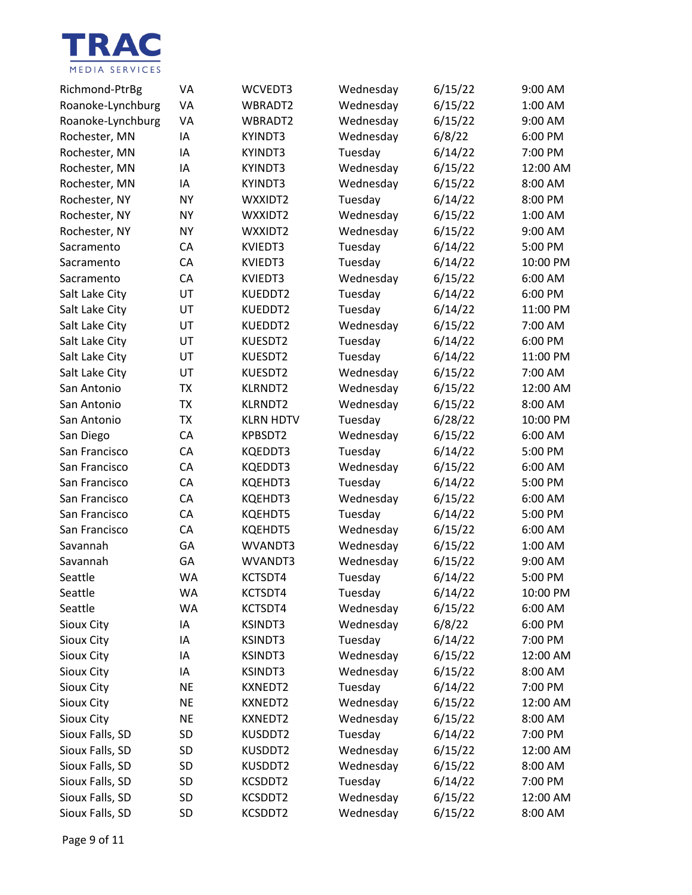

| Richmond-PtrBg    | VA        | WCVEDT3          | Wednesday | 6/15/22 | 9:00 AM  |
|-------------------|-----------|------------------|-----------|---------|----------|
| Roanoke-Lynchburg | VA        | WBRADT2          | Wednesday | 6/15/22 | 1:00 AM  |
| Roanoke-Lynchburg | VA        | WBRADT2          | Wednesday | 6/15/22 | 9:00 AM  |
| Rochester, MN     | IA        | <b>KYINDT3</b>   | Wednesday | 6/8/22  | 6:00 PM  |
| Rochester, MN     | IA        | <b>KYINDT3</b>   | Tuesday   | 6/14/22 | 7:00 PM  |
| Rochester, MN     | IA        | <b>KYINDT3</b>   | Wednesday | 6/15/22 | 12:00 AM |
| Rochester, MN     | IA        | <b>KYINDT3</b>   | Wednesday | 6/15/22 | 8:00 AM  |
| Rochester, NY     | <b>NY</b> | WXXIDT2          | Tuesday   | 6/14/22 | 8:00 PM  |
| Rochester, NY     | <b>NY</b> | WXXIDT2          | Wednesday | 6/15/22 | 1:00 AM  |
| Rochester, NY     | <b>NY</b> | WXXIDT2          | Wednesday | 6/15/22 | 9:00 AM  |
| Sacramento        | CA        | KVIEDT3          | Tuesday   | 6/14/22 | 5:00 PM  |
| Sacramento        | CA        | KVIEDT3          | Tuesday   | 6/14/22 | 10:00 PM |
| Sacramento        | CA        | KVIEDT3          | Wednesday | 6/15/22 | 6:00 AM  |
| Salt Lake City    | UT        | KUEDDT2          | Tuesday   | 6/14/22 | 6:00 PM  |
| Salt Lake City    | UT        | KUEDDT2          | Tuesday   | 6/14/22 | 11:00 PM |
| Salt Lake City    | UT        | KUEDDT2          | Wednesday | 6/15/22 | 7:00 AM  |
| Salt Lake City    | UT        | KUESDT2          | Tuesday   | 6/14/22 | 6:00 PM  |
| Salt Lake City    | UT        | KUESDT2          | Tuesday   | 6/14/22 | 11:00 PM |
| Salt Lake City    | UT        | KUESDT2          | Wednesday | 6/15/22 | 7:00 AM  |
| San Antonio       | <b>TX</b> | <b>KLRNDT2</b>   | Wednesday | 6/15/22 | 12:00 AM |
| San Antonio       | TX        | <b>KLRNDT2</b>   | Wednesday | 6/15/22 | 8:00 AM  |
| San Antonio       | <b>TX</b> | <b>KLRN HDTV</b> | Tuesday   | 6/28/22 | 10:00 PM |
| San Diego         | CA        | KPBSDT2          | Wednesday | 6/15/22 | 6:00 AM  |
| San Francisco     | CA        | KQEDDT3          | Tuesday   | 6/14/22 | 5:00 PM  |
| San Francisco     | CA        | KQEDDT3          | Wednesday | 6/15/22 | 6:00 AM  |
| San Francisco     | CA        | KQEHDT3          | Tuesday   | 6/14/22 | 5:00 PM  |
| San Francisco     | CA        | KQEHDT3          | Wednesday | 6/15/22 | 6:00 AM  |
| San Francisco     | CA        | <b>KQEHDT5</b>   | Tuesday   | 6/14/22 | 5:00 PM  |
| San Francisco     | CA        | <b>KQEHDT5</b>   | Wednesday | 6/15/22 | 6:00 AM  |
| Savannah          | GA        | WVANDT3          | Wednesday | 6/15/22 | 1:00 AM  |
| Savannah          | GA        | WVANDT3          | Wednesday | 6/15/22 | 9:00 AM  |
| Seattle           | <b>WA</b> | KCTSDT4          | Tuesday   | 6/14/22 | 5:00 PM  |
| Seattle           | WA        | KCTSDT4          | Tuesday   | 6/14/22 | 10:00 PM |
| Seattle           | <b>WA</b> | KCTSDT4          | Wednesday | 6/15/22 | 6:00 AM  |
| Sioux City        | ΙA        | <b>KSINDT3</b>   | Wednesday | 6/8/22  | 6:00 PM  |
| <b>Sioux City</b> | IA        | <b>KSINDT3</b>   | Tuesday   | 6/14/22 | 7:00 PM  |
| Sioux City        | IA        | <b>KSINDT3</b>   | Wednesday | 6/15/22 | 12:00 AM |
| Sioux City        | ΙA        | <b>KSINDT3</b>   | Wednesday | 6/15/22 | 8:00 AM  |
| Sioux City        | <b>NE</b> | KXNEDT2          | Tuesday   | 6/14/22 | 7:00 PM  |
| Sioux City        | <b>NE</b> | KXNEDT2          | Wednesday | 6/15/22 | 12:00 AM |
| Sioux City        | <b>NE</b> | <b>KXNEDT2</b>   | Wednesday | 6/15/22 | 8:00 AM  |
| Sioux Falls, SD   | SD        | KUSDDT2          | Tuesday   | 6/14/22 | 7:00 PM  |
| Sioux Falls, SD   | SD        | KUSDDT2          | Wednesday | 6/15/22 | 12:00 AM |
| Sioux Falls, SD   | SD        | KUSDDT2          | Wednesday | 6/15/22 | 8:00 AM  |
| Sioux Falls, SD   | SD        | KCSDDT2          | Tuesday   | 6/14/22 | 7:00 PM  |
| Sioux Falls, SD   | SD        | KCSDDT2          | Wednesday | 6/15/22 | 12:00 AM |
| Sioux Falls, SD   | SD        | KCSDDT2          | Wednesday | 6/15/22 | 8:00 AM  |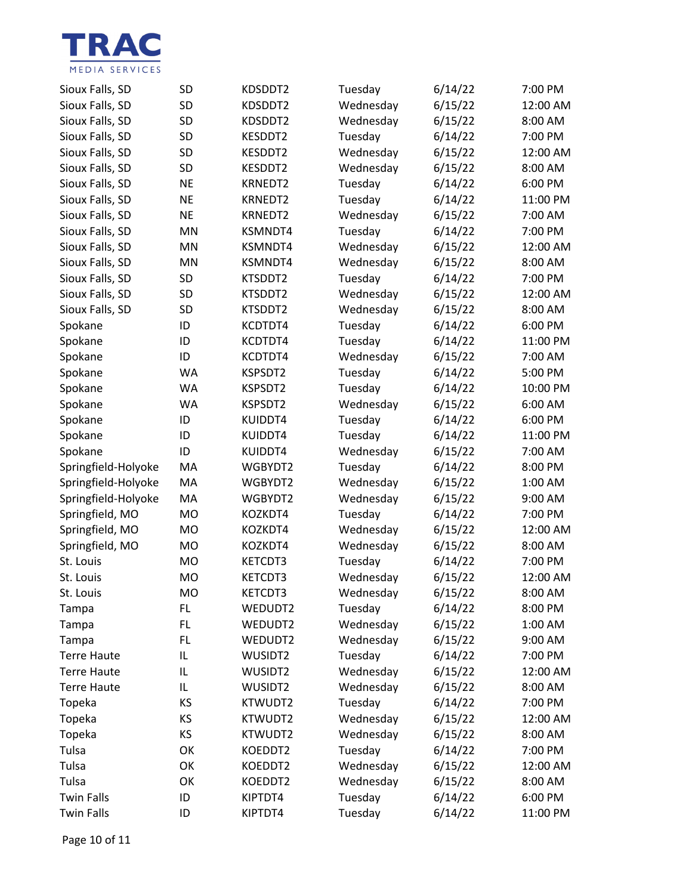

| Sioux Falls, SD     | <b>SD</b> | KDSDDT2        | Tuesday   | 6/14/22 | 7:00 PM  |
|---------------------|-----------|----------------|-----------|---------|----------|
| Sioux Falls, SD     | <b>SD</b> | KDSDDT2        | Wednesday | 6/15/22 | 12:00 AM |
| Sioux Falls, SD     | <b>SD</b> | KDSDDT2        | Wednesday | 6/15/22 | 8:00 AM  |
| Sioux Falls, SD     | <b>SD</b> | KESDDT2        | Tuesday   | 6/14/22 | 7:00 PM  |
| Sioux Falls, SD     | <b>SD</b> | KESDDT2        | Wednesday | 6/15/22 | 12:00 AM |
| Sioux Falls, SD     | <b>SD</b> | KESDDT2        | Wednesday | 6/15/22 | 8:00 AM  |
| Sioux Falls, SD     | <b>NE</b> | <b>KRNEDT2</b> | Tuesday   | 6/14/22 | 6:00 PM  |
| Sioux Falls, SD     | <b>NE</b> | KRNEDT2        | Tuesday   | 6/14/22 | 11:00 PM |
| Sioux Falls, SD     | <b>NE</b> | <b>KRNEDT2</b> | Wednesday | 6/15/22 | 7:00 AM  |
| Sioux Falls, SD     | MN        | KSMNDT4        | Tuesday   | 6/14/22 | 7:00 PM  |
| Sioux Falls, SD     | MN        | KSMNDT4        | Wednesday | 6/15/22 | 12:00 AM |
| Sioux Falls, SD     | <b>MN</b> | KSMNDT4        | Wednesday | 6/15/22 | 8:00 AM  |
| Sioux Falls, SD     | <b>SD</b> | KTSDDT2        | Tuesday   | 6/14/22 | 7:00 PM  |
| Sioux Falls, SD     | <b>SD</b> | KTSDDT2        | Wednesday | 6/15/22 | 12:00 AM |
| Sioux Falls, SD     | <b>SD</b> | KTSDDT2        | Wednesday | 6/15/22 | 8:00 AM  |
| Spokane             | ID        | KCDTDT4        | Tuesday   | 6/14/22 | 6:00 PM  |
| Spokane             | ID        | KCDTDT4        | Tuesday   | 6/14/22 | 11:00 PM |
| Spokane             | ID        | KCDTDT4        | Wednesday | 6/15/22 | 7:00 AM  |
| Spokane             | WA        | KSPSDT2        | Tuesday   | 6/14/22 | 5:00 PM  |
| Spokane             | <b>WA</b> | KSPSDT2        | Tuesday   | 6/14/22 | 10:00 PM |
| Spokane             | <b>WA</b> | KSPSDT2        | Wednesday | 6/15/22 | 6:00 AM  |
| Spokane             | ID        | KUIDDT4        | Tuesday   | 6/14/22 | 6:00 PM  |
| Spokane             | ID        | KUIDDT4        | Tuesday   | 6/14/22 | 11:00 PM |
| Spokane             | ID        | KUIDDT4        | Wednesday | 6/15/22 | 7:00 AM  |
| Springfield-Holyoke | MA        | WGBYDT2        | Tuesday   | 6/14/22 | 8:00 PM  |
| Springfield-Holyoke | MA        | WGBYDT2        | Wednesday | 6/15/22 | 1:00 AM  |
| Springfield-Holyoke | MA        | WGBYDT2        | Wednesday | 6/15/22 | 9:00 AM  |
| Springfield, MO     | <b>MO</b> | KOZKDT4        | Tuesday   | 6/14/22 | 7:00 PM  |
| Springfield, MO     | <b>MO</b> | KOZKDT4        | Wednesday | 6/15/22 | 12:00 AM |
| Springfield, MO     | <b>MO</b> | KOZKDT4        | Wednesday | 6/15/22 | 8:00 AM  |
| St. Louis           | <b>MO</b> | KETCDT3        | Tuesday   | 6/14/22 | 7:00 PM  |
| St. Louis           | <b>MO</b> | KETCDT3        | Wednesday | 6/15/22 | 12:00 AM |
| St. Louis           | MO        | KETCDT3        | Wednesday | 6/15/22 | 8:00 AM  |
| Tampa               | FL        | WEDUDT2        | Tuesday   | 6/14/22 | 8:00 PM  |
| Tampa               | FL        | WEDUDT2        | Wednesday | 6/15/22 | 1:00 AM  |
| Tampa               | FL        | WEDUDT2        | Wednesday | 6/15/22 | 9:00 AM  |
| <b>Terre Haute</b>  | IL        | WUSIDT2        | Tuesday   | 6/14/22 | 7:00 PM  |
| <b>Terre Haute</b>  | IL        | WUSIDT2        | Wednesday | 6/15/22 | 12:00 AM |
| <b>Terre Haute</b>  | IL        | WUSIDT2        | Wednesday | 6/15/22 | 8:00 AM  |
| Topeka              | KS        | KTWUDT2        | Tuesday   | 6/14/22 | 7:00 PM  |
| Topeka              | ΚS        | KTWUDT2        | Wednesday | 6/15/22 | 12:00 AM |
| Topeka              | KS        | KTWUDT2        | Wednesday | 6/15/22 | 8:00 AM  |
| Tulsa               | OK        | KOEDDT2        | Tuesday   | 6/14/22 | 7:00 PM  |
| Tulsa               | OK        | KOEDDT2        | Wednesday | 6/15/22 | 12:00 AM |
| Tulsa               | OK        | KOEDDT2        | Wednesday | 6/15/22 | 8:00 AM  |
| <b>Twin Falls</b>   | ID        | KIPTDT4        | Tuesday   | 6/14/22 | 6:00 PM  |
| <b>Twin Falls</b>   | ID        | KIPTDT4        | Tuesday   | 6/14/22 | 11:00 PM |

Page 10 of 11